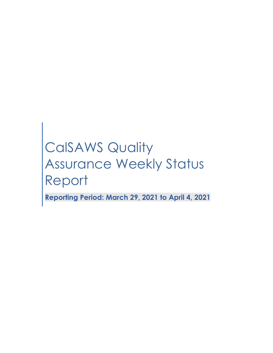# CalSAWS Quality Assurance Weekly Status Report

**Reporting Period: March 29, 2021 to April 4, 2021**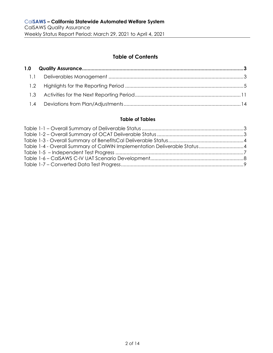# **Table of Contents**

### **Table of Tables**

| Table 1-4 - Overall Summary of CalWIN Implementation Deliverable Status 4 |  |
|---------------------------------------------------------------------------|--|
|                                                                           |  |
|                                                                           |  |
|                                                                           |  |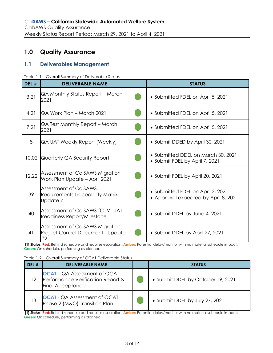# <span id="page-2-0"></span>**1.0 Quality Assurance**

# <span id="page-2-1"></span>**1.1 Deliverables Management**

<span id="page-2-2"></span>

|  |  | Table 1-1 - Overall Summary of Deliverable Status |  |
|--|--|---------------------------------------------------|--|
|  |  |                                                   |  |

| DEL # | <b>DELIVERABLE NAME</b>                                                           | <b>STATUS</b>                                                             |
|-------|-----------------------------------------------------------------------------------|---------------------------------------------------------------------------|
| 3.21  | QA Monthly Status Report – March<br>2021                                          | • Submitted FDEL on April 5, 2021                                         |
| 4.21  | QA Work Plan – March 2021                                                         | • Submitted FDEL on April 5, 2021                                         |
| 7.21  | QA Test Monthly Report – March<br>2021                                            | • Submitted FDEL on April 5, 2021                                         |
| 8     | QA UAT Weekly Report (Weekly)                                                     | • Submit DDED by April 30, 2021                                           |
| 10.02 | Quarterly QA Security Report                                                      | • Submitted DDEL on March 30, 2021<br>• Submit FDEL by April 7, 2021      |
| 12.22 | Assessment of CalSAWS Migration<br>Work Plan Update - April 2021                  | • Submit FDEL by April 20, 2021                                           |
| 39    | Assessment of CalSAWS<br><b>Requirements Traceability Matrix -</b><br>Update 7    | • Submitted FDEL on April 2, 2021<br>• Approval expected by April 8, 2021 |
| 40    | Assessment of CalSAWS (C-IV) UAT<br>Readiness Report/Milestone                    | • Submit DDEL by June 4, 2021                                             |
| 41    | Assessment of CalSAWS Migration<br><b>Project Control Document - Update</b><br>#2 | • Submit DDEL by April 27, 2021                                           |

**[1] Status: Red:** Behind schedule and requires escalation; **Amber:** Potential delay/monitor with no material schedule impact; **Green:** On schedule, performing as planned

<span id="page-2-3"></span>Table 1-2 – Overall Summary of OCAT Deliverable Status

| DEL # | <b>DELIVERABLE NAME</b>                                                                             | <b>STATUS</b>                     |
|-------|-----------------------------------------------------------------------------------------------------|-----------------------------------|
| 12    | <b>OCAT</b> – QA Assessment of OCAT<br>Performance Verification Report &<br><b>Final Acceptance</b> | • Submit DDEL by October 19, 2021 |
| 13    | <b>OCAT</b> - QA Assessment of OCAT<br>Phase 2 (M&O) Transition Plan                                | • Submit DDEL by July 27, 2021    |

**[1] Status: Red:** Behind schedule and requires escalation; **Amber:** Potential delay/monitor with no material schedule impact; **Green:** On schedule, performing as planned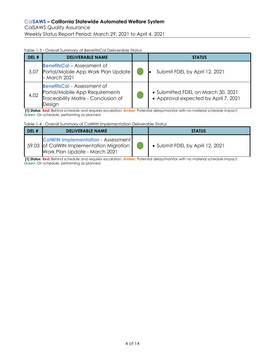#### <span id="page-3-0"></span>Table 1-3 - Overall Summary of BenefitsCal Deliverable Status

| DEL # | <b>DELIVERABLE NAME</b>                                                                                               | <b>STATUS</b>                                                              |
|-------|-----------------------------------------------------------------------------------------------------------------------|----------------------------------------------------------------------------|
| 3.07  | <b>BenefitsCal</b> – Assessment of<br>Portal/Mobile App Work Plan Update<br>March 2021                                | Submit FDEL by April 12, 2021                                              |
| 4.02  | <b>BenefitsCal - Assessment of</b><br>Portal/Mobile App Requirements<br>Traceability Matrix - Conclusion of<br>Design | • Submitted FDEL on March 30, 2021<br>• Approval expected by April 7, 2021 |

**[1] Status: Red:** Behind schedule and requires escalation; **Amber:** Potential delay/monitor with no material schedule impact; **Green:** On schedule, performing as planned

<span id="page-3-1"></span>Table 1-4 - Overall Summary of CalWIN Implementation Deliverable Status

| DEL # | <b>DELIVERABLE NAME</b>                                                                                                  | <b>STATUS</b>                   |
|-------|--------------------------------------------------------------------------------------------------------------------------|---------------------------------|
|       | <b>CalWIN Implementation - Assessment</b><br>59.03 of CalWIN Implementation Migration  <br>Work Plan Update - March 2021 | • Submit FDEL by April 12, 2021 |

**[1] Status: Red:** Behind schedule and requires escalation; **Amber:** Potential delay/monitor with no material schedule impact; **Green:** On schedule, performing as planned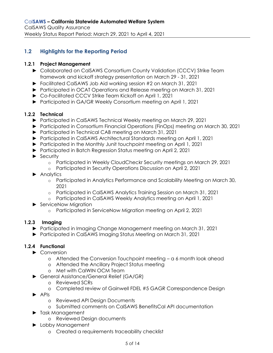# <span id="page-4-0"></span>**1.2 Highlights for the Reporting Period**

## **1.2.1 Project Management**

- ► Collaborated on CalSAWS Consortium County Validation (CCCV) Strike Team framework and kickoff strategy presentation on March 29 - 31, 2021
- ► Facilitated CalSAWS Job Aid working session #2 on March 31, 2021
- ► Participated in OCAT Operations and Release meeting on March 31, 2021
- ► Co-Facilitated CCCV Strike Team Kickoff on April 1, 2021
- ► Participated in GA/GR Weekly Consortium meeting on April 1, 2021

## **1.2.2 Technical**

- ► Participated in CalSAWS Technical Weekly meeting on March 29, 2021
- ► Participated in Consortium Financial Operations (FinOps) meeting on March 30, 2021
- ► Participated in Technical CAB meeting on March 31, 2021
- ► Participated in CalSAWS Architectural Standards meeting on April 1, 2021
- ► Participated in the Monthly Junit touchpoint meeting on April 1, 2021
- ► Participated in Batch Regression Status meeting on April 2, 2021
- ► Security
	- o Participated in Weekly CloudCheckr Security meetings on March 29, 2021
	- o Participated in Security Operations Discussion on April 2, 2021
- ► Analytics
	- o Participated in Analytics Performance and Scalability Meeting on March 30, 2021
	- o Participated in CalSAWS Analytics Training Session on March 31, 2021
	- o Participated in CalSAWS Weekly Analytics meeting on April 1, 2021
- ► ServiceNow Migration
	- o Participated in ServiceNow Migration meeting on April 2, 2021

## **1.2.3 Imaging**

- ► Participated in Imaging Change Management meeting on March 31, 2021
- ► Participated in CalSAWS Imaging Status Meeting on March 31, 2021

# **1.2.4 Functional**

- ► Conversion
	- o Attended the Conversion Touchpoint meeting a 6 month look ahead
	- o Attended the Ancillary Project Status meeting
	- o Met with CalWIN OCM Team
- ► General Assistance/General Relief (GA/GR)
	- o Reviewed SCRs
	- o Completed review of Gainwell FDEL #5 GAGR Correspondence Design
- ► APIs
	- o Reviewed API Design Documents
	- o Submitted comments on CalSAWS BenefitsCal API documentation
- ► Task Management
	- o Reviewed Design documents
- ► Lobby Management
	- o Created a requirements traceability checklist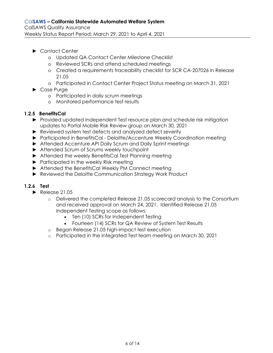- ► Contact Center
	- o Updated QA Contact Center Milestone Checklist
	- o Reviewed SCRs and attend scheduled meetings
	- o Created a requirements traceability checklist for SCR CA-207026 in Release 21.05
	- o Participated in Contact Center Project Status meeting on March 31, 2021
- ► Case Purge
	- o Participated in daily scrum meetings
	- o Monitored performance test results

## **1.2.5 BenefitsCal**

- ► Provided updated Independent Test resource plan and schedule risk mitigation updates to Portal Mobile Risk Review group on March 30, 2021
- ► Reviewed system test defects and analyzed defect severity
- ► Participated in BenefitsCal Deloitte/Accenture Weekly Coordination meeting
- ► Attended Accenture API Daily Scrum and Daily Sprint meetings
- ► Attended Scrum of Scrums weekly touchpoint
- ► Attended the weekly BenefitsCal Test Planning meeting
- ► Participated in the weekly Risk meeting
- ► Attended the BenefitsCal Weekly PM Connect meeting
- ► Reviewed the Deloitte Communication Strategy Work Product

## **1.2.6 Test**

- ► Release 21.05
	- o Delivered the completed Release 21.05 scorecard analysis to the Consortium and received approval on March 24, 2021. Identified Release 21.05 Independent Testing scope as follows:
		- Ten (10) SCRs for Independent Testing
		- Fourteen (14) SCRs for QA Review of System Test Results
	- o Began Release 21.05 high-impact test execution
	- o Participated in the Integrated Test team meeting on March 30, 2021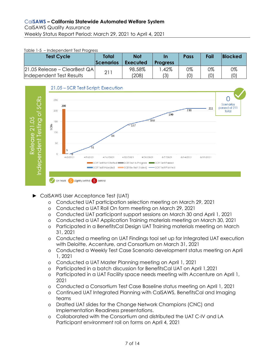#### <span id="page-6-0"></span>Table 1-5 – Independent Test Progress

| <b>Test Cycle</b>              | Total<br><b>Scenarios</b> | <b>Not</b><br><b>Executed</b> | In<br><b>Progress</b> | Pass | Fail | <b>Blocked</b> |
|--------------------------------|---------------------------|-------------------------------|-----------------------|------|------|----------------|
| $21.05$ Release – ClearBest QA | 211                       | 98.58%                        | .42%                  | 0%   | 0%   | 0%             |
| Independent Test Results       |                           | (208)                         | (3)                   | (0)  | (0)  | (0)            |



- ► CalSAWS User Acceptance Test (UAT)
	- o Conducted UAT participation selection meeting on March 29, 2021
	- o Conducted a UAT Roll On form meeting on March 29, 2021
	- o Conducted UAT participant support sessions on March 30 and April 1, 2021
	- o Conducted a UAT Application Training materials meeting on March 30, 2021
	- o Participated in a BenefitsCal Design UAT Training materials meeting on March 31, 2021
	- o Conducted a meeting on UAT Findings tool set up for Integrated UAT execution with Deloitte, Accenture, and Consortium on March 31, 2021
	- o Conducted a Weekly Test Case Scenario development status meeting on April 1, 2021
	- o Conducted a UAT Master Planning meeting on April 1, 2021
	- o Participated in a batch discussion for BenefitsCal UAT on April 1,2021
	- o Participated in a UAT Facility space needs meeting with Accenture on April 1, 2021
	- o Conducted a Consortium Test Case Baseline status meeting on April 1, 2021
	- o Continued UAT Integrated Planning with CalSAWS, BenefitsCal and Imaging teams
	- o Drafted UAT slides for the Change Network Champions (CNC) and Implementation Readiness presentations.
	- o Collaborated with the Consortium and distributed the UAT C-IV and LA Participant environment roll on forms on April 4, 2021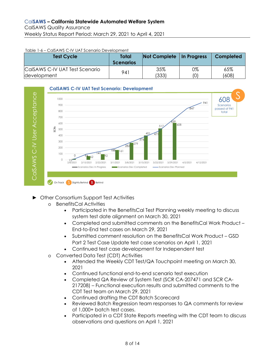#### <span id="page-7-0"></span>Table 1-6 – CalSAWS C-IV UAT Scenario Development

| <b>Test Cycle</b>              | <b>Total</b><br><b>Scenarios</b> | Not Complete   In Progress |     | Completed |
|--------------------------------|----------------------------------|----------------------------|-----|-----------|
| CalSAWS C-IV UAT Test Scenario | 941                              | 35%                        | 0%  | 65%       |
| development                    |                                  | (333)                      | (0) | (608)     |



- ► Other Consortium Support Test Activities
	- o BenefitsCal Activities
		- Participated in the BenefitsCal Test Planning weekly meeting to discuss system test date alignment on March 30, 2021
		- Completed and submitted comments on the BenefitsCal Work Product End-to-End test cases on March 29, 2021
		- Submitted comment resolution on the BenefitsCal Work Product GSD Part 2 Test Case Update test case scenarios on April 1, 2021
		- Continued test case development for Independent test
	- o Converted Data Test (CDT) Activities
		- Attended the Weekly CDT Test/QA Touchpoint meeting on March 30, 2021
		- Continued functional end-to-end scenario test execution
		- Completed QA Review of System Test (SCR CA-207471 and SCR CA-217208) – Functional execution results and submitted comments to the CDT Test team on March 29, 2021
		- Continued drafting the CDT Batch Scorecard
		- Reviewed Batch Regression team responses to QA comments for review of 1,000+ batch test cases.
		- Participated in a CDT State Reports meeting with the CDT team to discuss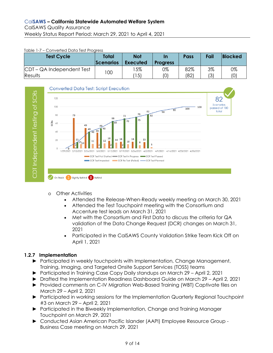#### <span id="page-8-0"></span>Table 1-7 – Converted Data Test Progress

| <b>Test Cycle</b>         | Total<br><b>Scenarios</b> | <b>Not</b><br><b>Executed</b> | In<br><b>Progress</b> | <b>Pass</b> | Fail | <b>Blocked</b> |
|---------------------------|---------------------------|-------------------------------|-----------------------|-------------|------|----------------|
| CDT – QA Independent Test | 100                       | 15%                           | 0%                    | 82%         | 3%   | 0%             |
| <b>Results</b>            |                           | 15)                           | '0)                   | (82)        | (3)  | (0)            |



- o Other Activities
	- Attended the Release-When-Ready weekly meeting on March 30, 2021
	- Attended the Test Touchpoint meeting with the Consortium and Accenture test leads on March 31, 2021
	- Met with the Consortium and First Data to discuss the criteria for QA validation of the Data Change Request (DCR) changes on March 31, 2021
	- Participated in the CalSAWS County Validation Strike Team Kick Off on April 1, 2021

# **1.2.7 Implementation**

- ► Participated in weekly touchpoints with Implementation, Change Management, Training, Imaging, and Targeted Onsite Support Services (TOSS) teams
- ► Participated in Training Case Copy Daily standups on March 29 April 2, 2021
- ► Drafted the Implementation Readiness Dashboard Guide on March 29 April 2, 2021
- ► Provided comments on C-IV Migration Web-Based Training (WBT) Captivate files on March 29 – April 2, 2021
- ► Participated in working sessions for the Implementation Quarterly Regional Touchpoint #3 on March 29 – April 2, 2021
- ► Participated in the Biweekly Implementation, Change and Training Manager Touchpoint on March 29, 2021
- ► Conducted Asian American Pacific Islander (AAPI) Employee Resource Group Business Case meeting on March 29, 2021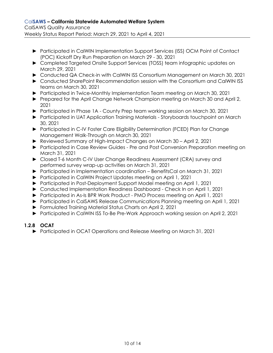- ► Participated in CalWIN Implementation Support Services (ISS) OCM Point of Contact (POC) Kickoff Dry Run Preparation on March 29 - 30, 2021
- ► Completed Targeted Onsite Support Services (TOSS) team infographic updates on March 29, 2021
- ► Conducted QA Check-in with CalWIN ISS Consortium Management on March 30, 2021
- ► Conducted SharePoint Recommendation session with the Consortium and CalWIN ISS teams on March 30, 2021
- ► Participated in Twice-Monthly Implementation Team meeting on March 30, 2021
- ► Prepared for the April Change Network Champion meeting on March 30 and April 2, 2021
- ► Participated in Phase 1A County Prep team working session on March 30, 2021
- ► Participated in UAT Application Training Materials Storyboards touchpoint on March 30, 2021
- ► Participated in C-IV Foster Care Eligibility Determination (FCED) Plan for Change Management Walk-Through on March 30, 2021
- ► Reviewed Summary of High-Impact Changes on March 30 April 2, 2021
- ► Participated in Case Review Guides Pre and Post Conversion Preparation meeting on March 31, 2021
- ► Closed T-6 Month C-IV User Change Readiness Assessment (CRA) survey and performed survey wrap-up activities on March 31, 2021
- ► Participated in Implementation coordination BenefitsCal on March 31, 2021
- ► Participated in CalWIN Project Updates meeting on April 1, 2021
- ► Participated in Post-Deployment Support Model meeting on April 1, 2021
- ► Conducted Implementation Readiness Dashboard Check In on April 1, 2021
- ► Participated in As-Is BPR Work Product PMO Process meeting on April 1, 2021
- ► Participated in CalSAWS Release Communications Planning meeting on April 1, 2021
- ► Formulated Training Material Status Charts on April 2, 2021
- ► Participated in CalWIN ISS To-Be Pre-Work Approach working session on April 2, 2021

# **1.2.8 OCAT**

► Participated in OCAT Operations and Release Meeting on March 31, 2021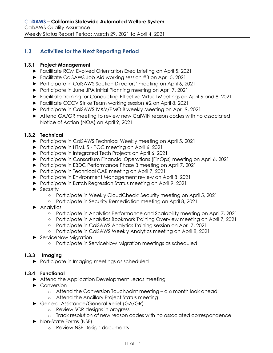# <span id="page-10-0"></span>**1.3 Activities for the Next Reporting Period**

## **1.3.1 Project Management**

- ► Facilitate RCM Evolved Orientation Exec briefing on April 5, 2021
- ► Facilitate CalSAWS Job Aid working session #3 on April 5, 2021
- ► Participate in CalSAWS Section Directors' meeting on April 6, 2021
- ► Participate in June JPA Initial Planning meeting on April 7, 2021
- ► Facilitate training for Conducting Effective Virtual Meetings on April 6 and 8, 2021
- ► Facilitate CCCV Strike Team working session #2 on April 8, 2021
- ► Participate in CalSAWS IV&V/PMO Biweekly Meeting on April 9, 2021
- ► Attend GA/GR meeting to review new CalWIN reason codes with no associated Notice of Action (NOA) on April 9, 2021

## **1.3.2 Technical**

- ► Participate in CalSAWS Technical Weekly meeting on April 5, 2021
- ► Participate in HTML 5 POC meeting on April 6, 2021
- ► Participate in Integrated Tech Projects on April 6, 2021
- ► Participate in Consortium Financial Operations (FinOps) meeting on April 6, 2021
- ► Participate in EBDC Performance Phase 3 meeting on April 7, 2021
- ► Participate in Technical CAB meeting on April 7, 2021
- ► Participate in Environment Management review on April 8, 2021
- ► Participate in Batch Regression Status meeting on April 9, 2021
- ► Security
	- o Participate in Weekly CloudCheckr Security meeting on April 5, 2021
	- o Participate in Security Remediation meeting on April 8, 2021
- ► Analytics
	- o Participate in Analytics Performance and Scalability meeting on April 7, 2021
	- o Participate in Analytics Bookmark Training Overview meeting on April 7, 2021
	- o Participate in CalSAWS Analytics Training session on April 7, 2021
	- o Participate in CalSAWS Weekly Analytics meeting on April 8, 2021
- ► ServiceNow Migration
	- o Participate in ServiceNow Migration meetings as scheduled

# **1.3.3 Imaging**

► Participate in Imaging meetings as scheduled

## **1.3.4 Functional**

- ► Attend the Application Development Leads meeting
- ► Conversion
	- o Attend the Conversion Touchpoint meeting a 6 month look ahead
	- o Attend the Ancillary Project Status meeting
- ► General Assistance/General Relief (GA/GR)
	- o Review SCR designs in progress
	- o Track resolution of new reason codes with no associated correspondence
- ► Non-State Forms (NSF)
	- o Review NSF Design documents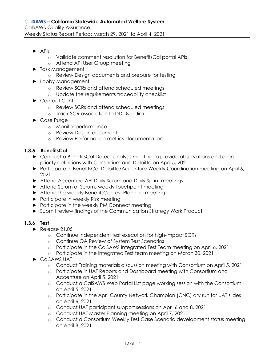- ► APIs
	- o Validate comment resolution for BenefitsCal portal APIs
	- o Attend API User Group meeting
- ► Task Management
	- o Review Design documents and prepare for testing
- ► Lobby Management
	- o Review SCRs and attend scheduled meetings
	- o Update the requirements traceability checklist
- ► Contact Center
	- o Review SCRs and attend scheduled meetings
	- o Track SCR association to DDIDs in Jira
- ► Case Purge
	- o Monitor performance
	- o Review Design document
	- o Review Performance metrics documentation

# **1.3.5 BenefitsCal**

- ► Conduct a BenefitsCal Defect analysis meeting to provide observations and align priority definitions with Consortium and Deloitte on April 5, 2021
- ► Participate in BenefitsCal Deloitte/Accenture Weekly Coordination meeting on April 6, 2021
- ► Attend Accenture API Daily Scrum and Daily Sprint meetings
- ► Attend Scrum of Scrums weekly touchpoint meeting
- ► Attend the weekly BenefitsCal Test Planning meeting
- ► Participate in weekly Risk meeting
- ► Participate in the weekly PM Connect meeting
- ► Submit review findings of the Communication Strategy Work Product

# **1.3.6 Test**

- ► Release 21.05
	- o Continue Independent test execution for high-impact SCRs
	- o Continue QA Review of System Test Scenarios
	- o Participate in the CalSAWS Integrated Test Team meeting on April 6, 2021
	- o Participate in the Integrated Test team meeting on March 30, 2021
- ► CalSAWS UAT
	- o Conduct Training materials discussion meeting with Consortium on April 5, 2021
	- o Participate in UAT Reports and Dashboard meeting with Consortium and Accenture on April 5, 2021
	- o Conduct a CalSAWS Web Portal List page working session with the Consortium on April 5, 2021
	- o Participate in the April County Network Champion (CNC) dry run for UAT slides on April 6, 2021
	- o Conduct UAT participant support sessions on April 6 and 8, 2021
	- o Conduct UAT Master Planning meeting on April 7, 2021
	- o Conduct a Consortium Weekly Test Case Scenario development status meeting on April 8, 2021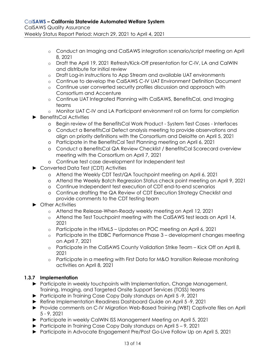- o Conduct an Imaging and CalSAWS integration scenario/script meeting on April 8, 2021
- o Draft the April 19, 2021 Refresh/Kick-Off presentation for C-IV, LA and CalWIN and distribute for initial review
- o Draft Log-in instructions to App Stream and available UAT environments
- o Continue to develop the CalSAWS C-IV UAT Environment Definition Document
- o Continue user converted security profiles discussion and approach with Consortium and Accenture
- o Continue UAT Integrated Planning with CalSAWS, BenefitsCal, and Imaging teams
- o Monitor UAT C-IV and LA Participant environment roll on forms for completion
- ► BenefitsCal Activities
	- o Begin review of the BenefitsCal Work Product System Test Cases Interfaces
	- o Conduct a BenefitsCal Defect analysis meeting to provide observations and align on priority definitions with the Consortium and Deloitte on April 5, 2021
	- o Participate in the BenefitsCal Test Planning meeting on April 6, 2021
	- o Conduct a BenefitsCal QA Review Checklist / BenefitsCal Scorecard overview meeting with the Consortium on April 7, 2021
	- o Continue test case development for Independent test
- ► Converted Data Test (CDT) Activities
	- o Attend the Weekly CDT Test/QA Touchpoint meeting on April 6, 2021
	- o Attend the Weekly Batch Regression Status check point meeting on April 9, 2021
	- o Continue Independent test execution of CDT end-to-end scenarios
	- o Continue drafting the QA Review of CDT Execution Strategy Checklist and provide comments to the CDT testing team
- ► Other Activities
	- o Attend the Release-When-Ready weekly meeting on April 12, 2021
	- o Attend the Test Touchpoint meeting with the CalSAWS test leads on April 14, 2021
	- $\circ$  Participate in the HTML5 Updates on POC meeting on April 6, 2021
	- o Participate in the EDBC Performance Phase 3 development changes meeting on April 7, 2021
	- o Participate in the CalSAWS County Validation Strike Team Kick Off on April 8, 2021
	- o Participate in a meeting with First Data for M&O transition Release monitoring activities on April 8, 2021

## **1.3.7 Implementation**

- ► Participate in weekly touchpoints with Implementation, Change Management, Training, Imaging, and Targeted Onsite Support Services (TOSS) teams
- ► Participate in Training Case Copy Daily standups on April 5 -9, 2021
- ► Refine Implementation Readiness Dashboard Guide on April 5 -9, 2021
- ► Provide comments on C-IV Migration Web-Based Training (WBT) Captivate files on April 5 - 9, 2021
- ► Participate in weekly CalWIN ISS Management Meeting on April 5, 2021
- ► Participate in Training Case Copy Daily standups on April 5 9, 2021
- ► Participate in Advocate Engagement Pre/Post Go-Live Follow Up on April 5, 2021